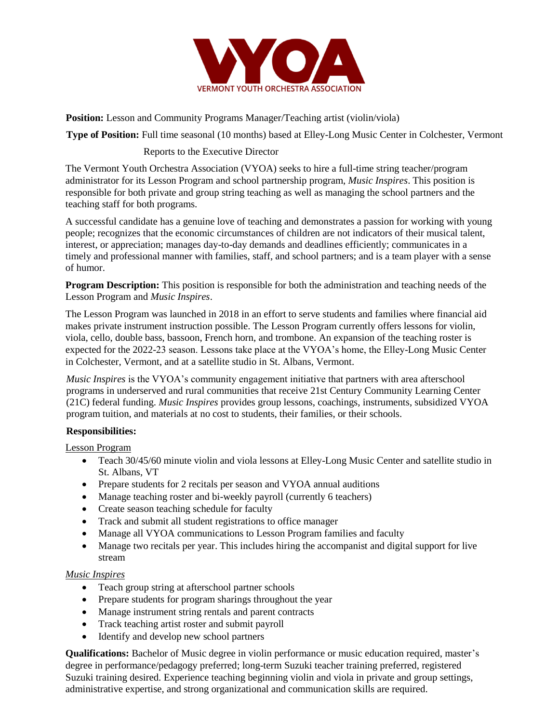

**Position:** Lesson and Community Programs Manager/Teaching artist (violin/viola)

**Type of Position:** Full time seasonal (10 months) based at Elley-Long Music Center in Colchester, Vermont

## Reports to the Executive Director

The Vermont Youth Orchestra Association (VYOA) seeks to hire a full-time string teacher/program administrator for its Lesson Program and school partnership program, *Music Inspires*. This position is responsible for both private and group string teaching as well as managing the school partners and the teaching staff for both programs.

A successful candidate has a genuine love of teaching and demonstrates a passion for working with young people; recognizes that the economic circumstances of children are not indicators of their musical talent, interest, or appreciation; manages day-to-day demands and deadlines efficiently; communicates in a timely and professional manner with families, staff, and school partners; and is a team player with a sense of humor.

**Program Description:** This position is responsible for both the administration and teaching needs of the Lesson Program and *Music Inspires*.

The Lesson Program was launched in 2018 in an effort to serve students and families where financial aid makes private instrument instruction possible. The Lesson Program currently offers lessons for violin, viola, cello, double bass, bassoon, French horn, and trombone. An expansion of the teaching roster is expected for the 2022-23 season. Lessons take place at the VYOA's home, the Elley-Long Music Center in Colchester, Vermont, and at a satellite studio in St. Albans, Vermont.

*Music Inspires* is the VYOA's community engagement initiative that partners with area afterschool programs in underserved and rural communities that receive 21st Century Community Learning Center (21C) federal funding. *Music Inspires* provides group lessons, coachings, instruments, subsidized VYOA program tuition, and materials at no cost to students, their families, or their schools.

## **Responsibilities:**

Lesson Program

- Teach 30/45/60 minute violin and viola lessons at Elley-Long Music Center and satellite studio in St. Albans, VT
- Prepare students for 2 recitals per season and VYOA annual auditions
- Manage teaching roster and bi-weekly payroll (currently 6 teachers)
- Create season teaching schedule for faculty
- Track and submit all student registrations to office manager
- Manage all VYOA communications to Lesson Program families and faculty
- Manage two recitals per year. This includes hiring the accompanist and digital support for live stream

## *Music Inspires*

- Teach group string at afterschool partner schools
- Prepare students for program sharings throughout the year
- Manage instrument string rentals and parent contracts
- Track teaching artist roster and submit payroll
- Identify and develop new school partners

**Qualifications:** Bachelor of Music degree in violin performance or music education required, master's degree in performance/pedagogy preferred; long-term Suzuki teacher training preferred, registered Suzuki training desired. Experience teaching beginning violin and viola in private and group settings, administrative expertise, and strong organizational and communication skills are required.